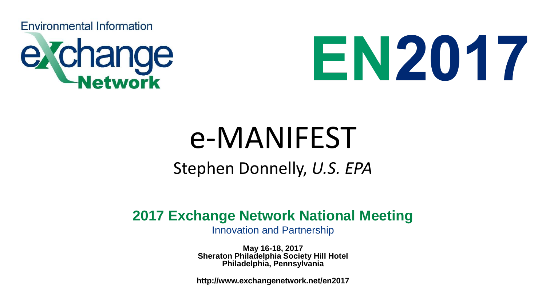**Environmental Information** 





# e-MANIFEST

### Stephen Donnelly, *U.S. EPA*

### **2017 Exchange Network National Meeting**

Innovation and Partnership

**May 16-18, 2017 Sheraton Philadelphia Society Hill Hotel Philadelphia, Pennsylvania**

**http://www.exchangenetwork.net/en2017**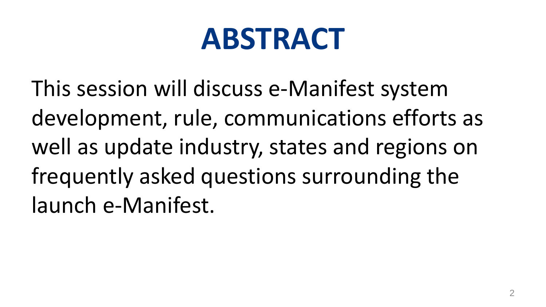# **ABSTRACT**

This session will discuss e-Manifest system development, rule, communications efforts as well as update industry, states and regions on frequently asked questions surrounding the launch e-Manifest.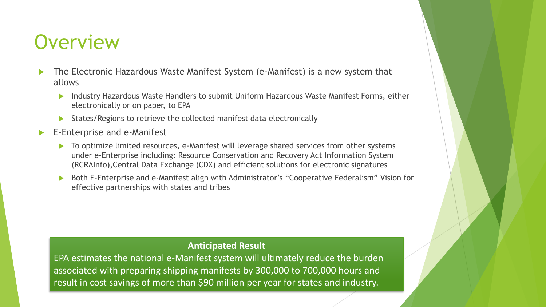### **Overview**

- The Electronic Hazardous Waste Manifest System (e-Manifest) is a new system that allows
	- Industry Hazardous Waste Handlers to submit Uniform Hazardous Waste Manifest Forms, either electronically or on paper, to EPA
	- States/Regions to retrieve the collected manifest data electronically
- E-Enterprise and e-Manifest
	- To optimize limited resources, e-Manifest will leverage shared services from other systems under e-Enterprise including: Resource Conservation and Recovery Act Information System (RCRAInfo),Central Data Exchange (CDX) and efficient solutions for electronic signatures
	- Both E-Enterprise and e-Manifest align with Administrator's "Cooperative Federalism" Vision for effective partnerships with states and tribes

#### **Anticipated Result**

EPA estimates the national e-Manifest system will ultimately reduce the burden associated with preparing shipping manifests by 300,000 to 700,000 hours and result in cost savings of more than \$90 million per year for states and industry.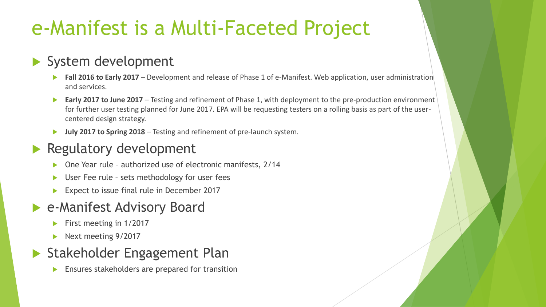# e-Manifest is a Multi-Faceted Project

### System development

- **Fall 2016 to Early 2017** Development and release of Phase 1 of e-Manifest. Web application, user administration and services.
- **Early 2017 to June 2017** Testing and refinement of Phase 1, with deployment to the pre-production environment for further user testing planned for June 2017. EPA will be requesting testers on a rolling basis as part of the usercentered design strategy.
- **July 2017 to Spring 2018**  Testing and refinement of pre-launch system.

### Regulatory development

- One Year rule authorized use of electronic manifests, 2/14
- User Fee rule sets methodology for user fees
- Expect to issue final rule in December 2017

### ▶ e-Manifest Advisory Board

- $\blacktriangleright$  First meeting in 1/2017
- Next meeting 9/2017

### Stakeholder Engagement Plan

**Ensures stakeholders are prepared for transition**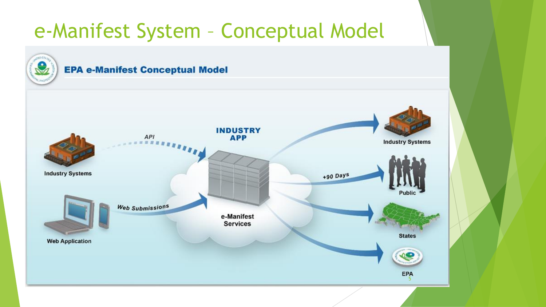## e-Manifest System – Conceptual Model

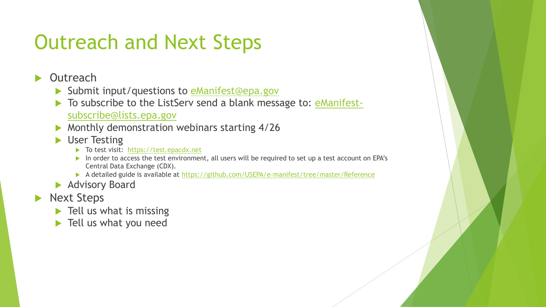# Outreach and Next Steps

#### **Outreach**

- Submit input/questions to [eManifest@epa.gov](mailto:eManifest@epa.gov)
- [To subscribe to the ListServ send a blank message to: eManifest](mailto:eManifest-subscribe@lists.epa.gov)subscribe@lists.epa.gov
- Monthly demonstration webinars starting 4/26
- **Dear Testing** 
	- To test visit: [https://test.epacdx.net](https://test.epacdx.net/)
	- In order to access the test environment, all users will be required to set up a test account on EPA's Central Data Exchange (CDX).
	- A detailed guide is available at<https://github.com/USEPA/e-manifest/tree/master/Reference>
- **Advisory Board**
- Next Steps
	- $\blacktriangleright$  Tell us what is missing
	- **Tell us what you need**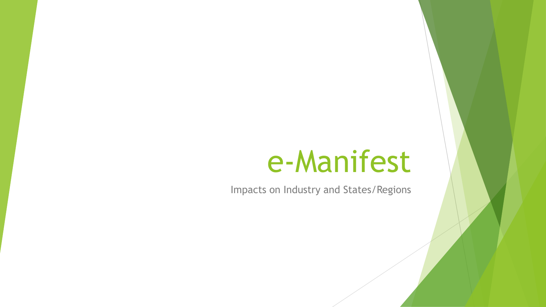# e-Manifest

Impacts on Industry and States/Regions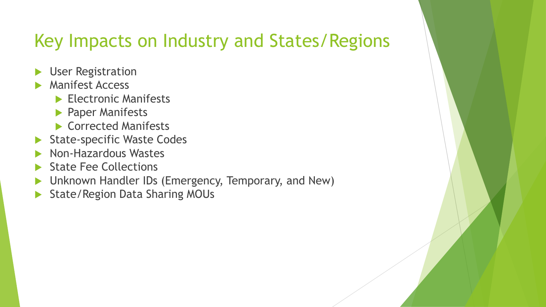### Key Impacts on Industry and States/Regions

- **User Registration**
- Manifest Access
	- Electronic Manifests
	- **Paper Manifests**
	- Corrected Manifests
- State-specific Waste Codes
- Non-Hazardous Wastes
- State Fee Collections
- Unknown Handler IDs (Emergency, Temporary, and New)
- State/Region Data Sharing MOUs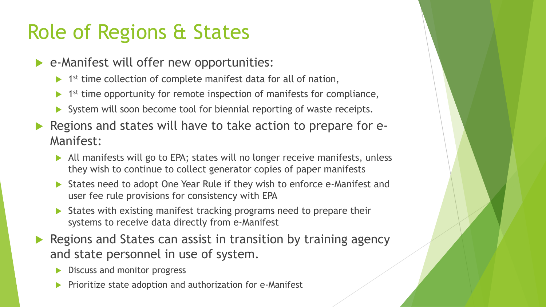# Role of Regions & States

- e-Manifest will offer new opportunities:
	- ▶ 1<sup>st</sup> time collection of complete manifest data for all of nation,
	- ▶ 1<sup>st</sup> time opportunity for remote inspection of manifests for compliance,
	- System will soon become tool for biennial reporting of waste receipts.
- Regions and states will have to take action to prepare for e-Manifest:
	- All manifests will go to EPA; states will no longer receive manifests, unless they wish to continue to collect generator copies of paper manifests
	- States need to adopt One Year Rule if they wish to enforce e-Manifest and user fee rule provisions for consistency with EPA
	- States with existing manifest tracking programs need to prepare their systems to receive data directly from e-Manifest
- Regions and States can assist in transition by training agency and state personnel in use of system.
	- Discuss and monitor progress
	- Prioritize state adoption and authorization for e-Manifest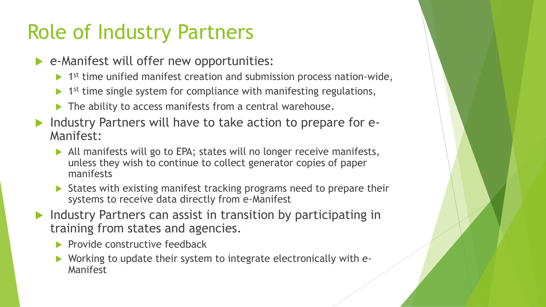# Role of Industry Partners

- e-Manifest will offer new opportunities:
	- ▶ 1<sup>st</sup> time unified manifest creation and submission process nation-wide,
	- $\blacktriangleright$  1<sup>st</sup> time single system for compliance with manifesting regulations,
	- The ability to access manifests from a central warehouse.
- Industry Partners will have to take action to prepare for e-Manifest:
	- All manifests will go to EPA; states will no longer receive manifests, unless they wish to continue to collect generator copies of paper manifests
	- ▶ States with existing manifest tracking programs need to prepare their systems to receive data directly from e-Manifest
- **Industry Partners can assist in transition by participating in** training from states and agencies.
	- $\blacktriangleright$  Provide constructive feedback
	- Working to update their system to integrate electronically with e-Manifest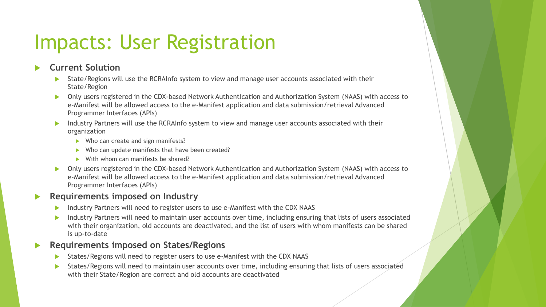## Impacts: User Registration

#### **Current Solution**

- State/Regions will use the RCRAInfo system to view and manage user accounts associated with their State/Region
- Only users registered in the CDX-based Network Authentication and Authorization System (NAAS) with access to e-Manifest will be allowed access to the e-Manifest application and data submission/retrieval Advanced Programmer Interfaces (APIs)
- Industry Partners will use the RCRAInfo system to view and manage user accounts associated with their organization
	- Who can create and sign manifests?
	- Who can update manifests that have been created?
	- With whom can manifests be shared?
- ▶ Only users registered in the CDX-based Network Authentication and Authorization System (NAAS) with access to e-Manifest will be allowed access to the e-Manifest application and data submission/retrieval Advanced Programmer Interfaces (APIs)

#### **Requirements imposed on Industry**

- Industry Partners will need to register users to use e-Manifest with the CDX NAAS
- Industry Partners will need to maintain user accounts over time, including ensuring that lists of users associated with their organization, old accounts are deactivated, and the list of users with whom manifests can be shared is up-to-date

#### **Requirements imposed on States/Regions**

- States/Regions will need to register users to use e-Manifest with the CDX NAAS
- States/Regions will need to maintain user accounts over time, including ensuring that lists of users associated with their State/Region are correct and old accounts are deactivated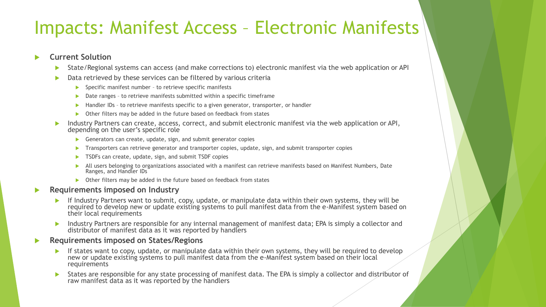### Impacts: Manifest Access – Electronic Manifests

#### **Current Solution**

- State/Regional systems can access (and make corrections to) electronic manifest via the web application or API
- ▶ Data retrieved by these services can be filtered by various criteria
	- $\blacktriangleright$  Specific manifest number to retrieve specific manifests
	- Date ranges to retrieve manifests submitted within a specific timeframe
	- Handler IDs to retrieve manifests specific to a given generator, transporter, or handler
	- Other filters may be added in the future based on feedback from states
- Industry Partners can create, access, correct, and submit electronic manifest via the web application or API, depending on the user's specific role
	- Generators can create, update, sign, and submit generator copies
	- Transporters can retrieve generator and transporter copies, update, sign, and submit transporter copies
	- TSDFs can create, update, sign, and submit TSDF copies
	- All users belonging to organizations associated with a manifest can retrieve manifests based on Manifest Numbers, Date Ranges, and Handler IDs
	- ▶ Other filters may be added in the future based on feedback from states

#### **Requirements imposed on Industry**

- If Industry Partners want to submit, copy, update, or manipulate data within their own systems, they will be required to develop new or update existing systems to pull manifest data from the e-Manifest system based on their local requirements
- Industry Partners are responsible for any internal management of manifest data; EPA is simply a collector and distributor of manifest data as it was reported by handlers
- **Requirements imposed on States/Regions**
	- If states want to copy, update, or manipulate data within their own systems, they will be required to develop new or update existing systems to pull manifest data from the e-Manifest system based on their local requirements
	- States are responsible for any state processing of manifest data. The EPA is simply a collector and distributor of raw manifest data as it was reported by the handlers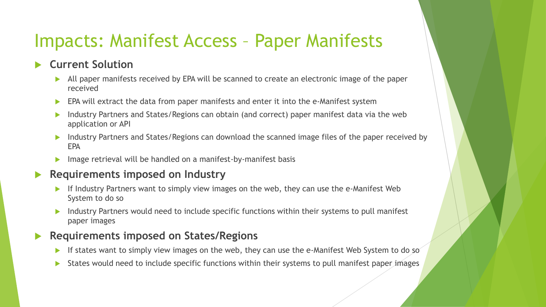### Impacts: Manifest Access – Paper Manifests

#### **Current Solution**

- All paper manifests received by EPA will be scanned to create an electronic image of the paper received
- EPA will extract the data from paper manifests and enter it into the e-Manifest system
- **Industry Partners and States/Regions can obtain (and correct) paper manifest data via the web** application or API
- Industry Partners and States/Regions can download the scanned image files of the paper received by EPA
- Image retrieval will be handled on a manifest-by-manifest basis

#### **Requirements imposed on Industry**

- If Industry Partners want to simply view images on the web, they can use the e-Manifest Web System to do so
- Industry Partners would need to include specific functions within their systems to pull manifest paper images

#### **Requirements imposed on States/Regions**

- If states want to simply view images on the web, they can use the e-Manifest Web System to do so
- States would need to include specific functions within their systems to pull manifest paper images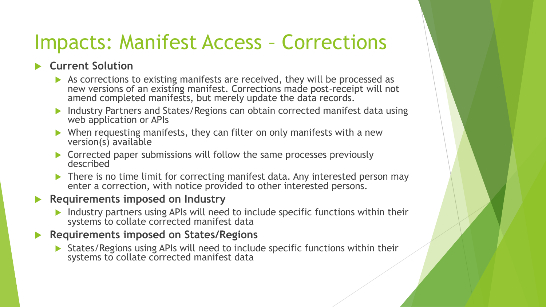## Impacts: Manifest Access – Corrections

#### **Current Solution**

- As corrections to existing manifests are received, they will be processed as new versions of an existing manifest. Corrections made post-receipt will not amend completed manifests, but merely update the data records.
- Industry Partners and States/Regions can obtain corrected manifest data using web application or APIs
- ▶ When requesting manifests, they can filter on only manifests with a new version(s) available
- ▶ Corrected paper submissions will follow the same processes previously described
- ▶ There is no time limit for correcting manifest data. Any interested person may enter a correction, with notice provided to other interested persons.

#### **Requirements imposed on Industry**

Industry partners using APIs will need to include specific functions within their systems to collate corrected manifest data

#### **Requirements imposed on States/Regions**

 States/Regions using APIs will need to include specific functions within their systems to collate corrected manifest data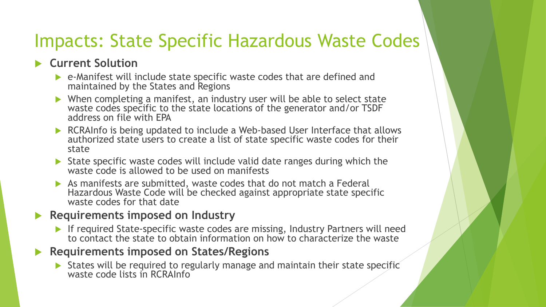### Impacts: State Specific Hazardous Waste Codes

### **Current Solution**

- e-Manifest will include state specific waste codes that are defined and maintained by the States and Regions
- ▶ When completing a manifest, an industry user will be able to select state waste codes specific to the state locations of the generator and/or TSDF address on file with EPA
- ▶ RCRAInfo is being updated to include a Web-based User Interface that allows authorized state users to create a list of state specific waste codes for their state
- State specific waste codes will include valid date ranges during which the waste code is allowed to be used on manifests
- As manifests are submitted, waste codes that do not match a Federal Hazardous Waste Code will be checked against appropriate state specific waste codes for that date
- **Requirements imposed on Industry**
	- If required State-specific waste codes are missing, Industry Partners will need to contact the state to obtain information on how to characterize the waste

### **Requirements imposed on States/Regions**

States will be required to regularly manage and maintain their state specific waste code lists in RCRAInfo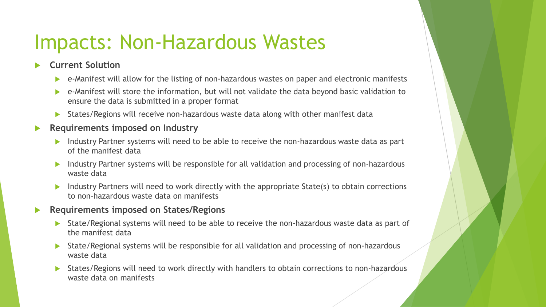### Impacts: Non-Hazardous Wastes

#### **Current Solution**

- e-Manifest will allow for the listing of non-hazardous wastes on paper and electronic manifests
- e-Manifest will store the information, but will not validate the data beyond basic validation to ensure the data is submitted in a proper format
- States/Regions will receive non-hazardous waste data along with other manifest data

#### **Requirements imposed on Industry**

- Industry Partner systems will need to be able to receive the non-hazardous waste data as part of the manifest data
- **Industry Partner systems will be responsible for all validation and processing of non-hazardous** waste data
- Industry Partners will need to work directly with the appropriate State(s) to obtain corrections to non-hazardous waste data on manifests

#### **Requirements imposed on States/Regions**

- State/Regional systems will need to be able to receive the non-hazardous waste data as part of the manifest data
- State/Regional systems will be responsible for all validation and processing of non-hazardous waste data
- States/Regions will need to work directly with handlers to obtain corrections to non-hazardous waste data on manifests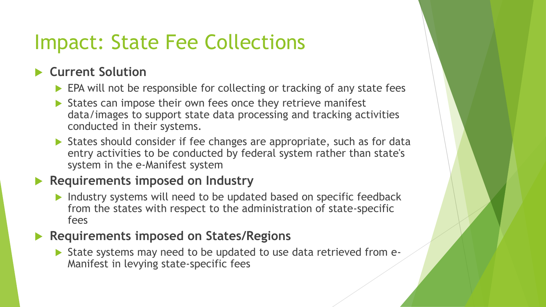# Impact: State Fee Collections

### **Current Solution**

- EPA will not be responsible for collecting or tracking of any state fees
- $\triangleright$  States can impose their own fees once they retrieve manifest data/images to support state data processing and tracking activities conducted in their systems.
- ▶ States should consider if fee changes are appropriate, such as for data entry activities to be conducted by federal system rather than state's system in the e-Manifest system

### **Requirements imposed on Industry**

Industry systems will need to be updated based on specific feedback from the states with respect to the administration of state-specific fees

### **Requirements imposed on States/Regions**

 State systems may need to be updated to use data retrieved from e-Manifest in levying state-specific fees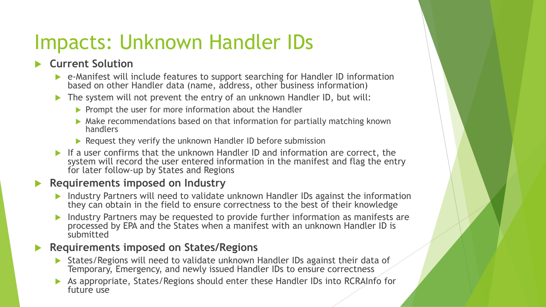# Impacts: Unknown Handler IDs

### **Current Solution**

- e-Manifest will include features to support searching for Handler ID information based on other Handler data (name, address, other business information)
- ▶ The system will not prevent the entry of an unknown Handler ID, but will:
	- $\triangleright$  Prompt the user for more information about the Handler
	- Make recommendations based on that information for partially matching known handlers
	- Request they verify the unknown Handler ID before submission
- If a user confirms that the unknown Handler ID and information are correct, the system will record the user entered information in the manifest and flag the entry for later follow-up by States and Regions

#### **Requirements imposed on Industry**

- ▶ Industry Partners will need to validate unknown Handler IDs against the information they can obtain in the field to ensure correctness to the best of their knowledge
- Industry Partners may be requested to provide further information as manifests are processed by EPA and the States when a manifest with an unknown Handler ID is submitted

#### **Requirements imposed on States/Regions**

- States/Regions will need to validate unknown Handler IDs against their data of Temporary, Emergency, and newly issued Handler IDs to ensure correctness
- As appropriate, States/Regions should enter these Handler IDs into RCRAInfo for future use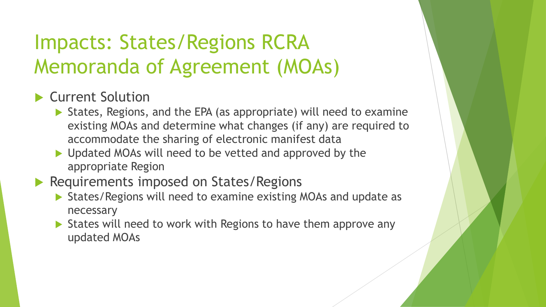# Impacts: States/Regions RCRA Memoranda of Agreement (MOAs)

### ▶ Current Solution

- States, Regions, and the EPA (as appropriate) will need to examine existing MOAs and determine what changes (if any) are required to accommodate the sharing of electronic manifest data
- ▶ Updated MOAs will need to be vetted and approved by the appropriate Region
- Requirements imposed on States/Regions
	- States/Regions will need to examine existing MOAs and update as necessary
	- States will need to work with Regions to have them approve any updated MOAs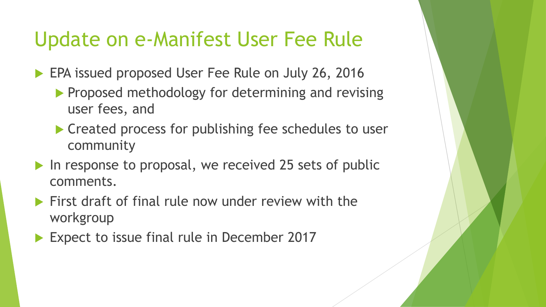### Update on e-Manifest User Fee Rule

**EPA issued proposed User Fee Rule on July 26, 2016** 

- **Proposed methodology for determining and revising** user fees, and
- ▶ Created process for publishing fee schedules to user community
- In response to proposal, we received 25 sets of public comments.
- First draft of final rule now under review with the workgroup
- Expect to issue final rule in December 2017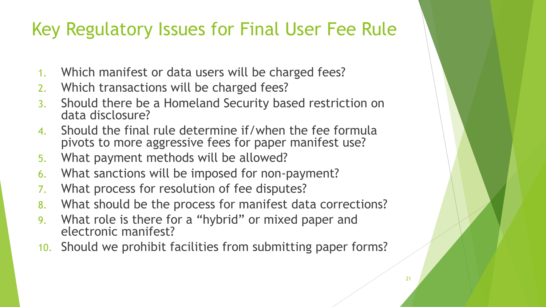### Key Regulatory Issues for Final User Fee Rule

- 1. Which manifest or data users will be charged fees?
- 2. Which transactions will be charged fees?
- 3. Should there be a Homeland Security based restriction on data disclosure?
- 4. Should the final rule determine if/when the fee formula pivots to more aggressive fees for paper manifest use?
- 5. What payment methods will be allowed?
- 6. What sanctions will be imposed for non-payment?
- 7. What process for resolution of fee disputes?
- 8. What should be the process for manifest data corrections?
- 9. What role is there for a "hybrid" or mixed paper and electronic manifest?
- 10. Should we prohibit facilities from submitting paper forms?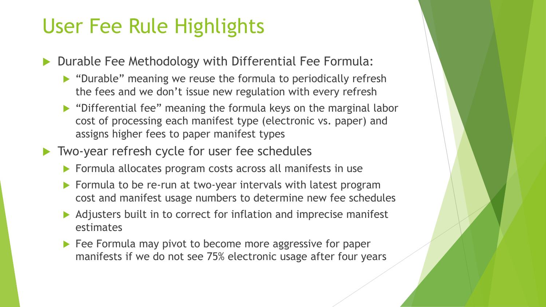## User Fee Rule Highlights

- Durable Fee Methodology with Differential Fee Formula:
	- "Durable" meaning we reuse the formula to periodically refresh the fees and we don't issue new regulation with every refresh
	- "Differential fee" meaning the formula keys on the marginal labor cost of processing each manifest type (electronic vs. paper) and assigns higher fees to paper manifest types
- ▶ Two-year refresh cycle for user fee schedules
	- **Formula allocates program costs across all manifests in use**
	- Formula to be re-run at two-year intervals with latest program cost and manifest usage numbers to determine new fee schedules
	- Adjusters built in to correct for inflation and imprecise manifest estimates
	- Fee Formula may pivot to become more aggressive for paper manifests if we do not see 75% electronic usage after four years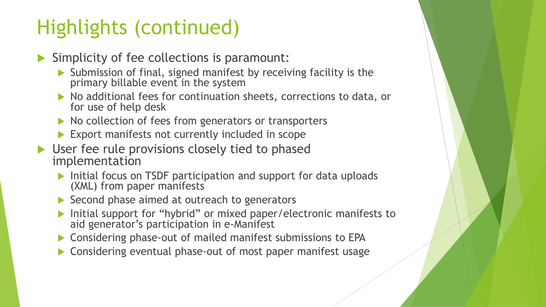# Highlights (continued)

- $\blacktriangleright$  Simplicity of fee collections is paramount:
	- Submission of final, signed manifest by receiving facility is the primary billable event in the system
	- $\triangleright$  No additional fees for continuation sheets, corrections to data, or for use of help desk
	- $\triangleright$  No collection of fees from generators or transporters
	- Export manifests not currently included in scope
- User fee rule provisions closely tied to phased implementation
	- Initial focus on TSDF participation and support for data uploads (XML) from paper manifests
	- Second phase aimed at outreach to generators
	- Initial support for "hybrid" or mixed paper/electronic manifests to aid generator's participation in e-Manifest
	- Considering phase-out of mailed manifest submissions to EPA
	- ▶ Considering eventual phase-out of most paper manifest usage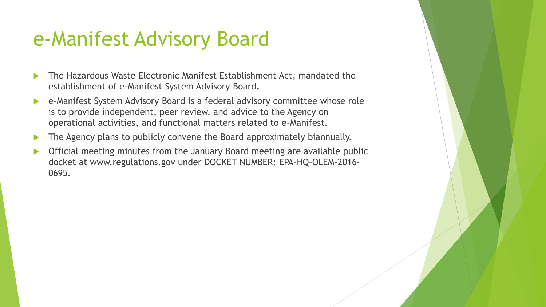## e-Manifest Advisory Board

- The Hazardous Waste Electronic Manifest Establishment Act, mandated the establishment of e-Manifest System Advisory Board**.**
- e-Manifest System Advisory Board is a federal advisory committee whose role is to provide independent, peer review, and advice to the Agency on operational activities, and functional matters related to e-Manifest.
- The Agency plans to publicly convene the Board approximately biannually.
- Official meeting minutes from the January Board meeting are available public docket at www.regulations.gov under DOCKET NUMBER: EPA–HQ–OLEM-2016- 0695.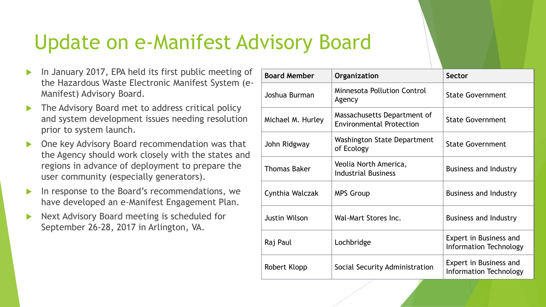# Update on e-Manifest Advisory Board

- **In January 2017, EPA held its first public meeting of** the Hazardous Waste Electronic Manifest System (e-Manifest) Advisory Board.
- The Advisory Board met to address critical policy and system development issues needing resolution prior to system launch.
- One key Advisory Board recommendation was that the Agency should work closely with the states and regions in advance of deployment to prepare the user community (especially generators).
- In response to the Board's recommendations, we have developed an e-Manifest Engagement Plan.
- Next Advisory Board meeting is scheduled for September 26-28, 2017 in Arlington, VA.

| <b>Board Member</b>  | Organization                                                   | <b>Sector</b>                                    |  |  |
|----------------------|----------------------------------------------------------------|--------------------------------------------------|--|--|
| Joshua Burman        | <b>Minnesota Pollution Control</b><br>Agency                   | <b>State Government</b>                          |  |  |
| Michael M. Hurley    | Massachusetts Department of<br><b>Environmental Protection</b> | <b>State Government</b>                          |  |  |
| John Ridgway         | Washington State Department<br>of Ecology                      | <b>State Government</b>                          |  |  |
| <b>Thomas Baker</b>  | Veolia North America,<br><b>Industrial Business</b>            | <b>Business and Industry</b>                     |  |  |
| Cynthia Walczak      | <b>MPS Group</b>                                               | <b>Business and Industry</b>                     |  |  |
| <b>Justin Wilson</b> | Wal-Mart Stores Inc.                                           | <b>Business and Industry</b>                     |  |  |
| Raj Paul             | Lochbridge                                                     | Expert in Business and<br>Information Technology |  |  |
| Robert Klopp         | Social Security Administration                                 | Expert in Business and<br>Information Technology |  |  |